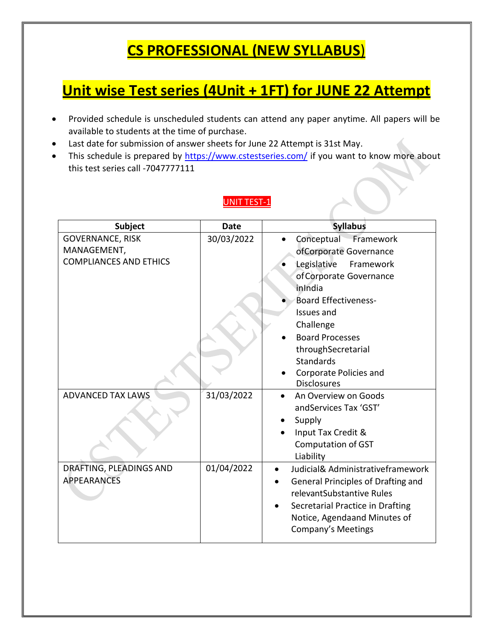# **CS PROFESSIONAL (NEW SYLLABUS**)

## **Unit wise Test series (4Unit + 1FT) for JUNE 22 Attempt**

- Provided schedule is unscheduled students can attend any paper anytime. All papers will be available to students at the time of purchase.
- Last date for submission of answer sheets for June 22 Attempt is 31st May.
- This schedule is prepared by<https://www.cstestseries.com/> if you want to know more about this test series call -7047777111

#### UNIT TEST-1

| <b>Subject</b>                | <b>Date</b> | <b>Syllabus</b>                           |
|-------------------------------|-------------|-------------------------------------------|
| <b>GOVERNANCE, RISK</b>       | 30/03/2022  | Conceptual Framework                      |
| MANAGEMENT,                   |             | ofCorporate Governance                    |
| <b>COMPLIANCES AND ETHICS</b> |             | Legislative<br>Framework                  |
|                               |             | of Corporate Governance                   |
|                               |             | inIndia                                   |
|                               |             | <b>Board Effectiveness-</b>               |
|                               |             | Issues and                                |
|                               |             | Challenge                                 |
|                               |             | <b>Board Processes</b>                    |
|                               |             | throughSecretarial                        |
|                               |             | <b>Standards</b>                          |
|                               |             | Corporate Policies and                    |
|                               |             | <b>Disclosures</b>                        |
| <b>ADVANCED TAX LAWS</b>      | 31/03/2022  | An Overview on Goods                      |
|                               |             | and Services Tax 'GST'                    |
|                               |             | Supply                                    |
|                               |             | Input Tax Credit &                        |
|                               |             | <b>Computation of GST</b>                 |
|                               |             | Liability                                 |
| DRAFTING, PLEADINGS AND       | 01/04/2022  | Judicial& Administrativeframework         |
| <b>APPEARANCES</b>            |             | <b>General Principles of Drafting and</b> |
|                               |             | relevantSubstantive Rules                 |
|                               |             | Secretarial Practice in Drafting          |
|                               |             | Notice, Agendaand Minutes of              |
|                               |             | Company's Meetings                        |
|                               |             |                                           |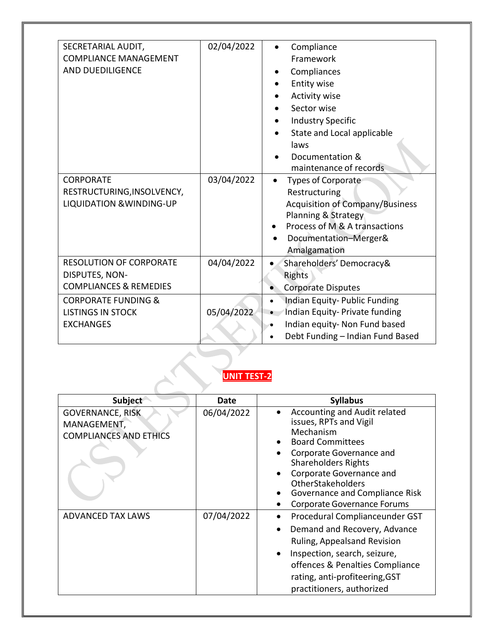| SECRETARIAL AUDIT,<br><b>COMPLIANCE MANAGEMENT</b><br><b>AND DUEDILIGENCE</b><br><b>CORPORATE</b><br>RESTRUCTURING, INSOLVENCY,<br><b>LIQUIDATION &amp; WINDING-UP</b> | 02/04/2022<br>03/04/2022 | Compliance<br>Framework<br>Compliances<br><b>Entity wise</b><br>Activity wise<br>Sector wise<br><b>Industry Specific</b><br>State and Local applicable<br>laws<br>Documentation &<br>maintenance of records<br><b>Types of Corporate</b><br>Restructuring<br><b>Acquisition of Company/Business</b><br>Planning & Strategy<br>Process of M & A transactions<br>Documentation-Merger&<br>Amalgamation |
|------------------------------------------------------------------------------------------------------------------------------------------------------------------------|--------------------------|------------------------------------------------------------------------------------------------------------------------------------------------------------------------------------------------------------------------------------------------------------------------------------------------------------------------------------------------------------------------------------------------------|
| <b>RESOLUTION OF CORPORATE</b><br>DISPUTES, NON-<br><b>COMPLIANCES &amp; REMEDIES</b>                                                                                  | 04/04/2022               | Shareholders' Democracy&<br>Rights<br><b>Corporate Disputes</b>                                                                                                                                                                                                                                                                                                                                      |
| <b>CORPORATE FUNDING &amp;</b><br><b>LISTINGS IN STOCK</b><br><b>EXCHANGES</b>                                                                                         | 05/04/2022               | Indian Equity-Public Funding<br>$\bullet$<br>Indian Equity- Private funding<br>Indian equity- Non Fund based<br>Debt Funding - Indian Fund Based                                                                                                                                                                                                                                                     |

# **UNIT TEST-2**

| Subject                                                                 | Date       | <b>Syllabus</b>                                                                                                                                                                                                                                                                          |
|-------------------------------------------------------------------------|------------|------------------------------------------------------------------------------------------------------------------------------------------------------------------------------------------------------------------------------------------------------------------------------------------|
| <b>GOVERNANCE, RISK</b><br>MANAGEMENT,<br><b>COMPLIANCES AND ETHICS</b> | 06/04/2022 | Accounting and Audit related<br>issues, RPTs and Vigil<br>Mechanism<br><b>Board Committees</b><br>Corporate Governance and<br><b>Shareholders Rights</b><br>Corporate Governance and<br><b>OtherStakeholders</b><br>Governance and Compliance Risk<br><b>Corporate Governance Forums</b> |
| <b>ADVANCED TAX LAWS</b>                                                | 07/04/2022 | Procedural Complianceunder GST<br>Demand and Recovery, Advance<br>Ruling, Appealsand Revision<br>Inspection, search, seizure,<br>offences & Penalties Compliance<br>rating, anti-profiteering, GST<br>practitioners, authorized                                                          |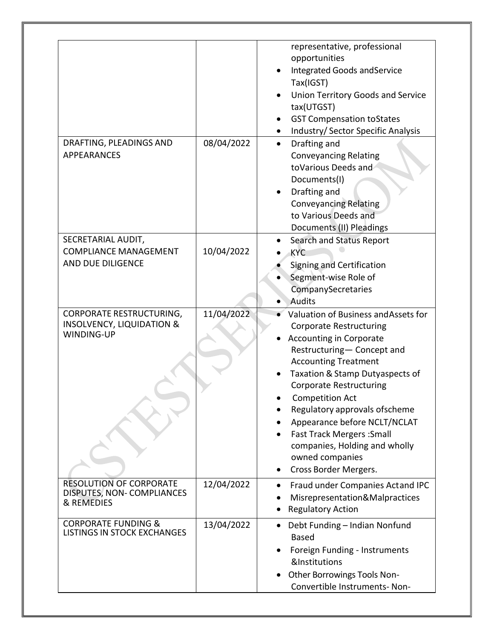|                                                                                              |            | representative, professional<br>opportunities<br>Integrated Goods and Service<br>Tax(IGST)<br>Union Territory Goods and Service<br>tax(UTGST)<br><b>GST Compensation toStates</b><br>Industry/ Sector Specific Analysis                                                                                                                                                                                                                                 |
|----------------------------------------------------------------------------------------------|------------|---------------------------------------------------------------------------------------------------------------------------------------------------------------------------------------------------------------------------------------------------------------------------------------------------------------------------------------------------------------------------------------------------------------------------------------------------------|
| DRAFTING, PLEADINGS AND<br><b>APPEARANCES</b>                                                | 08/04/2022 | Drafting and<br>$\bullet$<br><b>Conveyancing Relating</b><br>toVarious Deeds and<br>Documents(I)<br>Drafting and<br><b>Conveyancing Relating</b><br>to Various Deeds and<br>Documents (II) Pleadings                                                                                                                                                                                                                                                    |
| SECRETARIAL AUDIT,<br><b>COMPLIANCE MANAGEMENT</b><br>AND DUE DILIGENCE                      | 10/04/2022 | <b>Search and Status Report</b><br><b>KYC</b><br>Signing and Certification<br>Segment-wise Role of<br>CompanySecretaries<br>Audits                                                                                                                                                                                                                                                                                                                      |
| <b>CORPORATE RESTRUCTURING,</b><br><b>INSOLVENCY, LIQUIDATION &amp;</b><br><b>WINDING-UP</b> | 11/04/2022 | Valuation of Business and Assets for<br><b>Corporate Restructuring</b><br><b>Accounting in Corporate</b><br>Restructuring- Concept and<br><b>Accounting Treatment</b><br>Taxation & Stamp Dutyaspects of<br><b>Corporate Restructuring</b><br><b>Competition Act</b><br>Regulatory approvals of scheme<br>Appearance before NCLT/NCLAT<br><b>Fast Track Mergers: Small</b><br>companies, Holding and wholly<br>owned companies<br>Cross Border Mergers. |
| <b>RESOLUTION OF CORPORATE</b><br>DISPUTES, NON-COMPLIANCES<br>& REMEDIES                    | 12/04/2022 | Fraud under Companies Actand IPC<br>Misrepresentation&Malpractices<br><b>Regulatory Action</b>                                                                                                                                                                                                                                                                                                                                                          |
| <b>CORPORATE FUNDING &amp;</b><br><b>LISTINGS IN STOCK EXCHANGES</b>                         | 13/04/2022 | Debt Funding - Indian Nonfund<br><b>Based</b><br>Foreign Funding - Instruments<br>&Institutions<br>Other Borrowings Tools Non-<br>Convertible Instruments- Non-                                                                                                                                                                                                                                                                                         |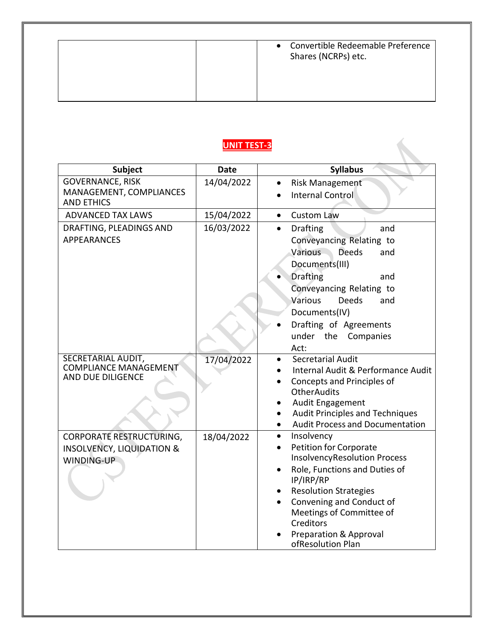| Convertible Redeemable Preference<br>$\bullet$<br>Shares (NCRPs) etc. |
|-----------------------------------------------------------------------|
|                                                                       |

### **UNIT TEST-3**

| Subject                                            | <b>Date</b> | <b>Syllabus</b>                                      |
|----------------------------------------------------|-------------|------------------------------------------------------|
| <b>GOVERNANCE, RISK</b>                            | 14/04/2022  | <b>Risk Management</b>                               |
| MANAGEMENT, COMPLIANCES<br><b>AND ETHICS</b>       |             | <b>Internal Control</b>                              |
|                                                    |             |                                                      |
| <b>ADVANCED TAX LAWS</b>                           | 15/04/2022  | <b>Custom Law</b><br>$\bullet$                       |
| DRAFTING, PLEADINGS AND                            | 16/03/2022  | <b>Drafting</b><br>and<br>$\bullet$                  |
| <b>APPEARANCES</b>                                 |             | Conveyancing Relating to                             |
|                                                    |             | Various<br><b>Deeds</b><br>and                       |
|                                                    |             | Documents(III)                                       |
|                                                    |             | <b>Drafting</b><br>and                               |
|                                                    |             | Conveyancing Relating to                             |
|                                                    |             | Various<br><b>Deeds</b><br>and                       |
|                                                    |             | Documents(IV)                                        |
|                                                    |             | Drafting of Agreements                               |
|                                                    |             | under the Companies                                  |
|                                                    |             | Act:                                                 |
| SECRETARIAL AUDIT,<br><b>COMPLIANCE MANAGEMENT</b> | 17/04/2022  | Secretarial Audit                                    |
| AND DUE DILIGENCE                                  |             | Internal Audit & Performance Audit                   |
|                                                    |             | Concepts and Principles of<br><b>OtherAudits</b>     |
|                                                    |             | Audit Engagement                                     |
|                                                    |             | <b>Audit Principles and Techniques</b>               |
|                                                    |             | <b>Audit Process and Documentation</b>               |
| <b>CORPORATE RESTRUCTURING,</b>                    | 18/04/2022  | Insolvency<br>$\bullet$                              |
| <b>INSOLVENCY, LIQUIDATION &amp;</b>               |             | Petition for Corporate                               |
| <b>WINDING-UP</b>                                  |             | <b>InsolvencyResolution Process</b>                  |
|                                                    |             | Role, Functions and Duties of                        |
|                                                    |             | IP/IRP/RP                                            |
|                                                    |             | <b>Resolution Strategies</b>                         |
|                                                    |             | Convening and Conduct of<br>Meetings of Committee of |
|                                                    |             | Creditors                                            |
|                                                    |             | <b>Preparation &amp; Approval</b>                    |
|                                                    |             | ofResolution Plan                                    |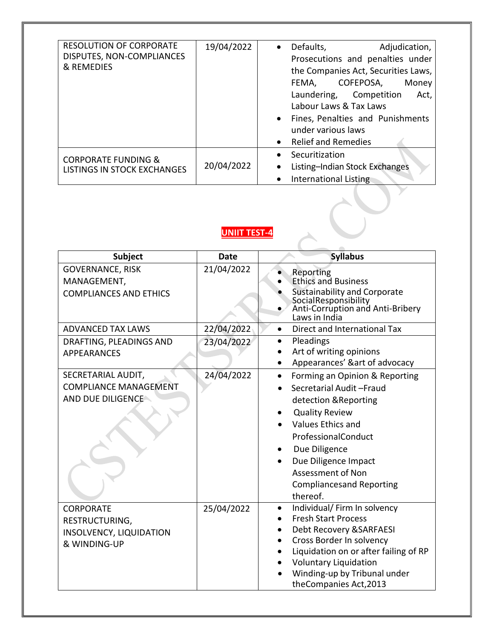| <b>RESOLUTION OF CORPORATE</b><br>DISPUTES, NON-COMPLIANCES<br>& REMEDIES | 19/04/2022 | Defaults,<br>Adjudication,<br>$\bullet$<br>Prosecutions and penalties under<br>the Companies Act, Securities Laws,<br>COFEPOSA,<br>FEMA,<br>Money<br>Laundering, Competition<br>Act,<br>Labour Laws & Tax Laws<br>Fines, Penalties and Punishments<br>under various laws<br><b>Relief and Remedies</b> |
|---------------------------------------------------------------------------|------------|--------------------------------------------------------------------------------------------------------------------------------------------------------------------------------------------------------------------------------------------------------------------------------------------------------|
| <b>CORPORATE FUNDING &amp;</b><br><b>LISTINGS IN STOCK EXCHANGES</b>      | 20/04/2022 | Securitization<br>Listing-Indian Stock Exchanges<br>$\bullet$<br>International Listing                                                                                                                                                                                                                 |

### **UNIIT TEST-4**

| Subject                                                                              | <b>Date</b> | <b>Syllabus</b>                                                                                                                                                                                                                                                                                 |
|--------------------------------------------------------------------------------------|-------------|-------------------------------------------------------------------------------------------------------------------------------------------------------------------------------------------------------------------------------------------------------------------------------------------------|
| <b>GOVERNANCE, RISK</b><br>MANAGEMENT,<br><b>COMPLIANCES AND ETHICS</b>              | 21/04/2022  | Reporting<br><b>Ethics and Business</b><br><b>Sustainability and Corporate</b><br>SocialResponsibility<br>Anti-Corruption and Anti-Bribery<br>Laws in India                                                                                                                                     |
| <b>ADVANCED TAX LAWS</b>                                                             | 22/04/2022  | Direct and International Tax<br>$\bullet$                                                                                                                                                                                                                                                       |
| DRAFTING, PLEADINGS AND<br><b>APPEARANCES</b>                                        | 23/04/2022  | Pleadings<br>$\bullet$<br>Art of writing opinions<br>Appearances' &art of advocacy                                                                                                                                                                                                              |
| SECRETARIAL AUDIT,<br><b>COMPLIANCE MANAGEMENT</b><br>AND DUE DILIGENCE              | 24/04/2022  | Forming an Opinion & Reporting<br>$\bullet$<br>Secretarial Audit-Fraud<br>detection & Reporting<br><b>Quality Review</b><br><b>Values Ethics and</b><br>ProfessionalConduct<br>Due Diligence<br>Due Diligence Impact<br><b>Assessment of Non</b><br><b>Compliancesand Reporting</b><br>thereof. |
| <b>CORPORATE</b><br>RESTRUCTURING,<br><b>INSOLVENCY, LIQUIDATION</b><br>& WINDING-UP | 25/04/2022  | Individual/ Firm In solvency<br><b>Fresh Start Process</b><br>Debt Recovery & SARFAESI<br>Cross Border In solvency<br>Liquidation on or after failing of RP<br><b>Voluntary Liquidation</b><br>Winding-up by Tribunal under<br>theCompanies Act, 2013                                           |